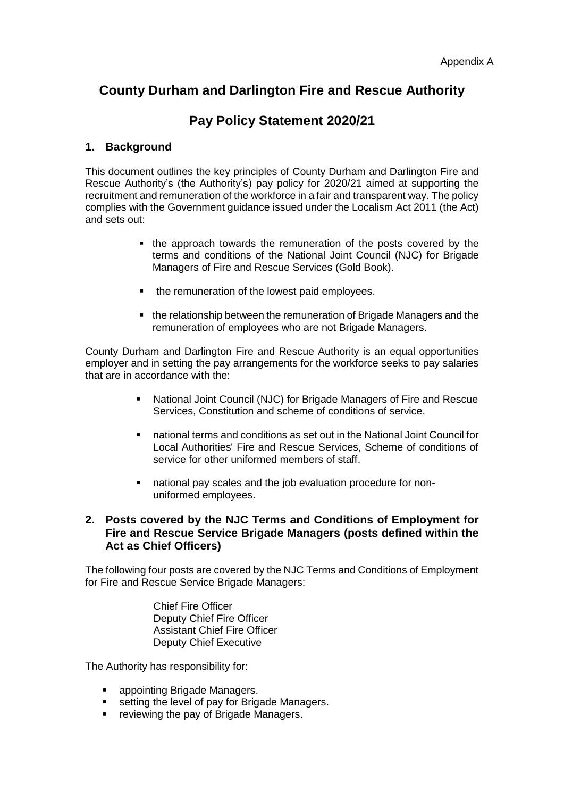# **County Durham and Darlington Fire and Rescue Authority**

# **Pay Policy Statement 2020/21**

# **1. Background**

This document outlines the key principles of County Durham and Darlington Fire and Rescue Authority's (the Authority's) pay policy for 2020/21 aimed at supporting the recruitment and remuneration of the workforce in a fair and transparent way. The policy complies with the Government guidance issued under the Localism Act 2011 (the Act) and sets out:

- the approach towards the remuneration of the posts covered by the terms and conditions of the National Joint Council (NJC) for Brigade Managers of Fire and Rescue Services (Gold Book).
- the remuneration of the lowest paid employees.
- the relationship between the remuneration of Brigade Managers and the remuneration of employees who are not Brigade Managers.

County Durham and Darlington Fire and Rescue Authority is an equal opportunities employer and in setting the pay arrangements for the workforce seeks to pay salaries that are in accordance with the:

- National Joint Council (NJC) for Brigade Managers of Fire and Rescue Services, Constitution and scheme of conditions of service.
- national terms and conditions as set out in the National Joint Council for Local Authorities' Fire and Rescue Services, Scheme of conditions of service for other uniformed members of staff.
- national pay scales and the job evaluation procedure for nonuniformed employees.

# **2. Posts covered by the NJC Terms and Conditions of Employment for Fire and Rescue Service Brigade Managers (posts defined within the Act as Chief Officers)**

The following four posts are covered by the NJC Terms and Conditions of Employment for Fire and Rescue Service Brigade Managers:

> Chief Fire Officer Deputy Chief Fire Officer Assistant Chief Fire Officer Deputy Chief Executive

The Authority has responsibility for:

- appointing Brigade Managers.
- setting the level of pay for Brigade Managers.
- **F** reviewing the pay of Brigade Managers.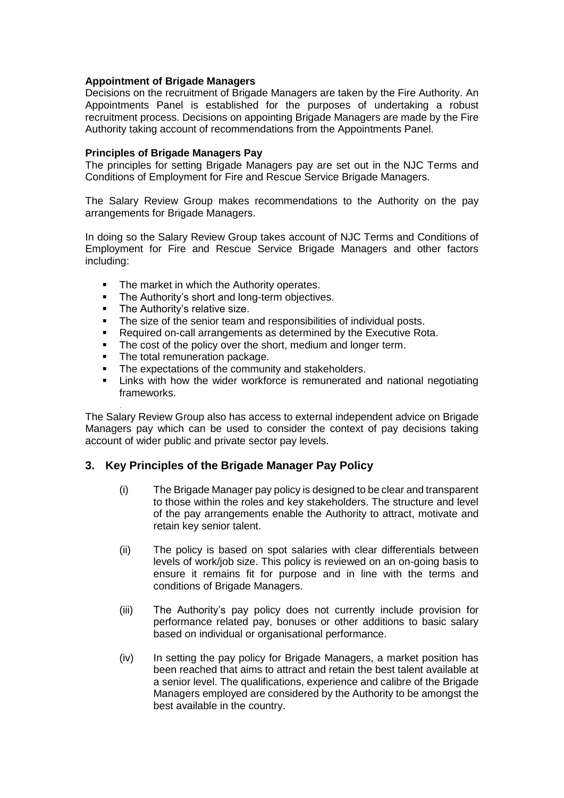## **Appointment of Brigade Managers**

Decisions on the recruitment of Brigade Managers are taken by the Fire Authority. An Appointments Panel is established for the purposes of undertaking a robust recruitment process. Decisions on appointing Brigade Managers are made by the Fire Authority taking account of recommendations from the Appointments Panel.

#### **Principles of Brigade Managers Pay**

The principles for setting Brigade Managers pay are set out in the NJC Terms and Conditions of Employment for Fire and Rescue Service Brigade Managers.

The Salary Review Group makes recommendations to the Authority on the pay arrangements for Brigade Managers.

In doing so the Salary Review Group takes account of NJC Terms and Conditions of Employment for Fire and Rescue Service Brigade Managers and other factors including:

- The market in which the Authority operates.
- The Authority's short and long-term objectives.
- The Authority's relative size.

.

- The size of the senior team and responsibilities of individual posts.
- Required on-call arrangements as determined by the Executive Rota.
- The cost of the policy over the short, medium and longer term.
- The total remuneration package.
- The expectations of the community and stakeholders.
- Links with how the wider workforce is remunerated and national negotiating frameworks.

The Salary Review Group also has access to external independent advice on Brigade Managers pay which can be used to consider the context of pay decisions taking account of wider public and private sector pay levels.

## **3. Key Principles of the Brigade Manager Pay Policy**

- (i) The Brigade Manager pay policy is designed to be clear and transparent to those within the roles and key stakeholders. The structure and level of the pay arrangements enable the Authority to attract, motivate and retain key senior talent.
- (ii) The policy is based on spot salaries with clear differentials between levels of work/job size. This policy is reviewed on an on-going basis to ensure it remains fit for purpose and in line with the terms and conditions of Brigade Managers.
- (iii) The Authority's pay policy does not currently include provision for performance related pay, bonuses or other additions to basic salary based on individual or organisational performance.
- (iv) In setting the pay policy for Brigade Managers, a market position has been reached that aims to attract and retain the best talent available at a senior level. The qualifications, experience and calibre of the Brigade Managers employed are considered by the Authority to be amongst the best available in the country.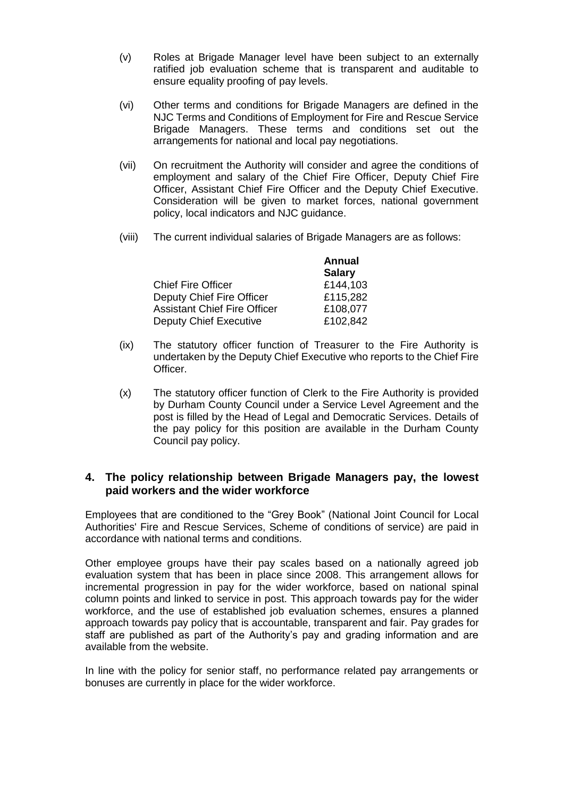- (v) Roles at Brigade Manager level have been subject to an externally ratified job evaluation scheme that is transparent and auditable to ensure equality proofing of pay levels.
- (vi) Other terms and conditions for Brigade Managers are defined in the NJC Terms and Conditions of Employment for Fire and Rescue Service Brigade Managers. These terms and conditions set out the arrangements for national and local pay negotiations.
- (vii) On recruitment the Authority will consider and agree the conditions of employment and salary of the Chief Fire Officer, Deputy Chief Fire Officer, Assistant Chief Fire Officer and the Deputy Chief Executive. Consideration will be given to market forces, national government policy, local indicators and NJC guidance.
- (viii) The current individual salaries of Brigade Managers are as follows:

|                                     | <b>Annual</b> |
|-------------------------------------|---------------|
|                                     | <b>Salary</b> |
| <b>Chief Fire Officer</b>           | £144,103      |
| Deputy Chief Fire Officer           | £115,282      |
| <b>Assistant Chief Fire Officer</b> | £108,077      |
| <b>Deputy Chief Executive</b>       | £102,842      |

- (ix) The statutory officer function of Treasurer to the Fire Authority is undertaken by the Deputy Chief Executive who reports to the Chief Fire Officer.
- (x) The statutory officer function of Clerk to the Fire Authority is provided by Durham County Council under a Service Level Agreement and the post is filled by the Head of Legal and Democratic Services. Details of the pay policy for this position are available in the Durham County Council pay policy.

## **4. The policy relationship between Brigade Managers pay, the lowest paid workers and the wider workforce**

Employees that are conditioned to the "Grey Book" (National Joint Council for Local Authorities' Fire and Rescue Services, Scheme of conditions of service) are paid in accordance with national terms and conditions.

Other employee groups have their pay scales based on a nationally agreed job evaluation system that has been in place since 2008. This arrangement allows for incremental progression in pay for the wider workforce, based on national spinal column points and linked to service in post. This approach towards pay for the wider workforce, and the use of established job evaluation schemes, ensures a planned approach towards pay policy that is accountable, transparent and fair. Pay grades for staff are published as part of the Authority's pay and grading information and are available from the website.

In line with the policy for senior staff, no performance related pay arrangements or bonuses are currently in place for the wider workforce.